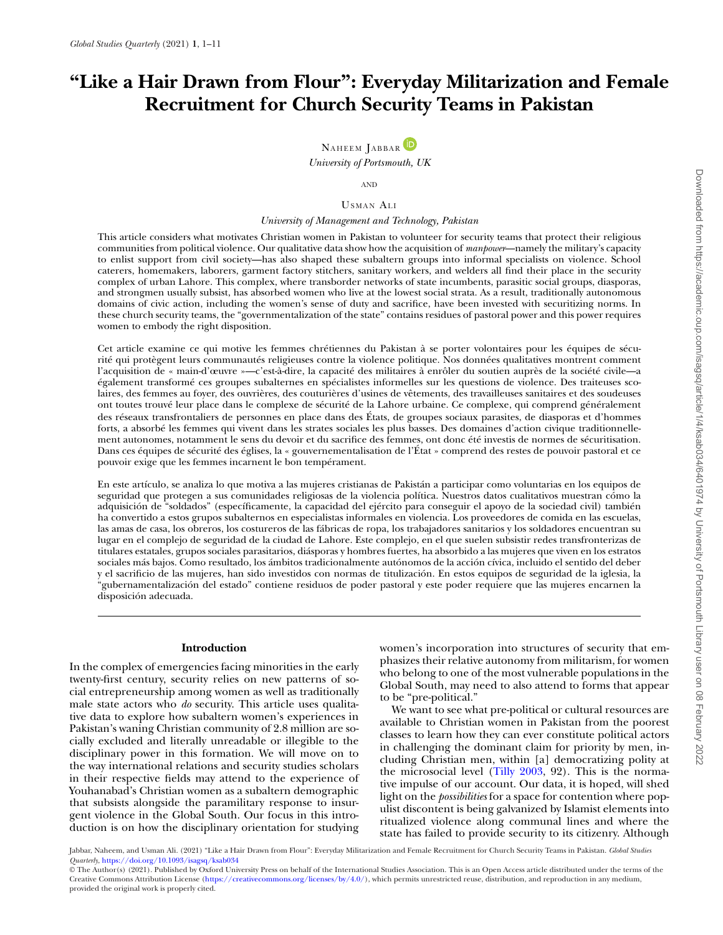# **"Like a Hair Drawn from Flour": Everyday Militarization and Female Recruitment for Church Security Teams in Pakistan**

NAHEEM JABBAR<sup>D</sup> *University of Portsmouth, UK*

AND

## USMAN ALI

## *University of Management and Technology, Pakistan*

This article considers what motivates Christian women in Pakistan to volunteer for security teams that protect their religious communities from political violence. Our qualitative data show how the acquisition of *manpower*—namely the military's capacity to enlist support from civil society—has also shaped these subaltern groups into informal specialists on violence. School caterers, homemakers, laborers, garment factory stitchers, sanitary workers, and welders all find their place in the security complex of urban Lahore. This complex, where transborder networks of state incumbents, parasitic social groups, diasporas, and strongmen usually subsist, has absorbed women who live at the lowest social strata. As a result, traditionally autonomous domains of civic action, including the women's sense of duty and sacrifice, have been invested with securitizing norms. In these church security teams, the "governmentalization of the state" contains residues of pastoral power and this power requires women to embody the right disposition.

Cet article examine ce qui motive les femmes chrétiennes du Pakistan à se porter volontaires pour les équipes de sécurité qui protègent leurs communautés religieuses contre la violence politique. Nos données qualitatives montrent comment l'acquisition de « main-d'œuvre »—c'est-à-dire, la capacité des militaires à enrôler du soutien auprès de la société civile—a également transformé ces groupes subalternes en spécialistes informelles sur les questions de violence. Des traiteuses scolaires, des femmes au foyer, des ouvrières, des couturières d'usines de vêtements, des travailleuses sanitaires et des soudeuses ont toutes trouvé leur place dans le complexe de sécurité de la Lahore urbaine. Ce complexe, qui comprend généralement des réseaux transfrontaliers de personnes en place dans des États, de groupes sociaux parasites, de diasporas et d'hommes forts, a absorbé les femmes qui vivent dans les strates sociales les plus basses. Des domaines d'action civique traditionnellement autonomes, notamment le sens du devoir et du sacrifice des femmes, ont donc été investis de normes de sécuritisation. Dans ces équipes de sécurité des églises, la « gouvernementalisation de l'État » comprend des restes de pouvoir pastoral et ce pouvoir exige que les femmes incarnent le bon tempérament.

En este artículo, se analiza lo que motiva a las mujeres cristianas de Pakistán a participar como voluntarias en los equipos de seguridad que protegen a sus comunidades religiosas de la violencia política. Nuestros datos cualitativos muestran cómo la adquisición de "soldados" (específicamente, la capacidad del ejército para conseguir el apoyo de la sociedad civil) también ha convertido a estos grupos subalternos en especialistas informales en violencia. Los proveedores de comida en las escuelas, las amas de casa, los obreros, los costureros de las fábricas de ropa, los trabajadores sanitarios y los soldadores encuentran su lugar en el complejo de seguridad de la ciudad de Lahore. Este complejo, en el que suelen subsistir redes transfronterizas de titulares estatales, grupos sociales parasitarios, diásporas y hombres fuertes, ha absorbido a las mujeres que viven en los estratos sociales más bajos. Como resultado, los ámbitos tradicionalmente autónomos de la acción cívica, incluido el sentido del deber y el sacrificio de las mujeres, han sido investidos con normas de titulización. En estos equipos de seguridad de la iglesia, la "gubernamentalización del estado" contiene residuos de poder pastoral y este poder requiere que las mujeres encarnen la disposición adecuada.

## **Introduction**

In the complex of emergencies facing minorities in the early twenty-first century, security relies on new patterns of social entrepreneurship among women as well as traditionally male state actors who *do* security. This article uses qualitative data to explore how subaltern women's experiences in Pakistan's waning Christian community of 2.8 million are socially excluded and literally unreadable or illegible to the disciplinary power in this formation. We will move on to the way international relations and security studies scholars in their respective fields may attend to the experience of Youhanabad's Christian women as a subaltern demographic that subsists alongside the paramilitary response to insurgent violence in the Global South. Our focus in this introduction is on how the disciplinary orientation for studying

women's incorporation into structures of security that emphasizes their relative autonomy from militarism, for women who belong to one of the most vulnerable populations in the Global South, may need to also attend to forms that appear to be "pre-political."

We want to see what pre-political or cultural resources are available to Christian women in Pakistan from the poorest classes to learn how they can ever constitute political actors in challenging the dominant claim for priority by men, including Christian men, within [a] democratizing polity at the microsocial level [\(Tilly 2003,](#page-10-0) 92). This is the normative impulse of our account. Our data, it is hoped, will shed light on the *possibilities* for a space for contention where populist discontent is being galvanized by Islamist elements into ritualized violence along communal lines and where the state has failed to provide security to its citizenry. Although

Jabbar, Naheem, and Usman Ali. (2021) "Like a Hair Drawn from Flour": Everyday Militarization and Female Recruitment for Church Security Teams in Pakistan. *Global Studies Quarterly*, <https://doi.org/10.1093/isagsq/ksab034>

© The Author(s) (2021). Published by Oxford University Press on behalf of the International Studies Association. This is an Open Access article distributed under the terms of the Creative Commons Attribution License [\(https://creativecommons.org/licenses/by/4.0/\)](https://creativecommons.org/licenses/by/4.0/), which permits unrestricted reuse, distribution, and reproduction in any medium, provided the original work is properly cited.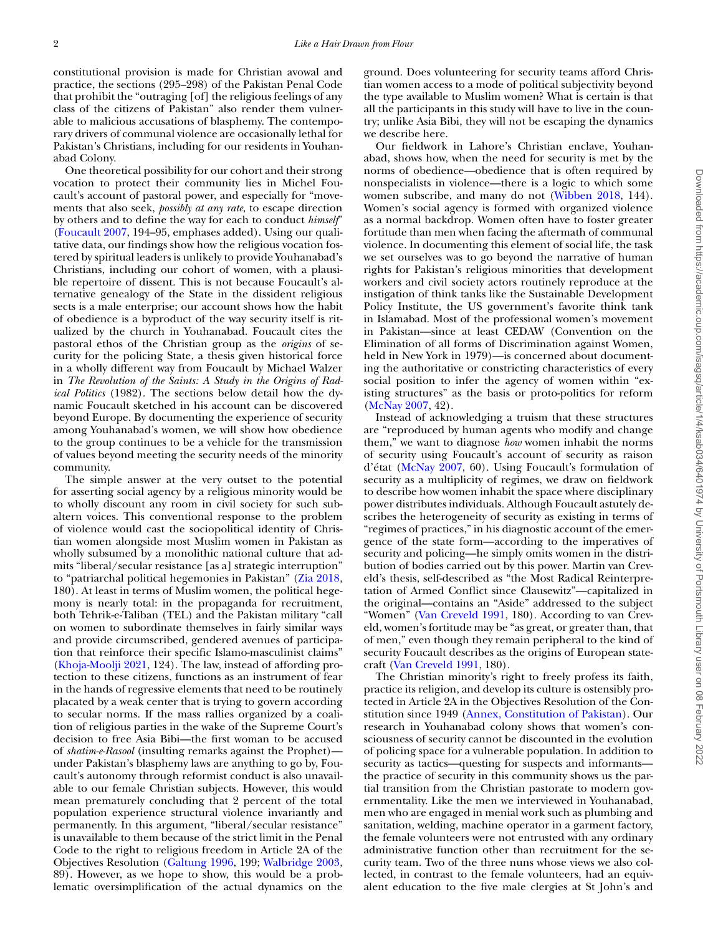constitutional provision is made for Christian avowal and practice, the sections (295–298) of the Pakistan Penal Code that prohibit the "outraging [of] the religious feelings of any class of the citizens of Pakistan" also render them vulnerable to malicious accusations of blasphemy. The contemporary drivers of communal violence are occasionally lethal for Pakistan's Christians, including for our residents in Youhanabad Colony.

One theoretical possibility for our cohort and their strong vocation to protect their community lies in Michel Foucault's account of pastoral power, and especially for "movements that also seek, *possibly at any rate*, to escape direction by others and to define the way for each to conduct *himself*" [\(Foucault 2007,](#page-9-0) 194–95, emphases added). Using our qualitative data, our findings show how the religious vocation fostered by spiritual leaders is unlikely to provide Youhanabad's Christians, including our cohort of women, with a plausible repertoire of dissent. This is not because Foucault's alternative genealogy of the State in the dissident religious sects is a male enterprise; our account shows how the habit of obedience is a byproduct of the way security itself is ritualized by the church in Youhanabad. Foucault cites the pastoral ethos of the Christian group as the *origins* of security for the policing State, a thesis given historical force in a wholly different way from Foucault by Michael Walzer in *The Revolution of the Saints: A Study in the Origins of Radical Politics* (1982). The sections below detail how the dynamic Foucault sketched in his account can be discovered beyond Europe. By documenting the experience of security among Youhanabad's women, we will show how obedience to the group continues to be a vehicle for the transmission of values beyond meeting the security needs of the minority community.

The simple answer at the very outset to the potential for asserting social agency by a religious minority would be to wholly discount any room in civil society for such subaltern voices. This conventional response to the problem of violence would cast the sociopolitical identity of Christian women alongside most Muslim women in Pakistan as wholly subsumed by a monolithic national culture that admits "liberal/secular resistance [as a] strategic interruption" to "patriarchal political hegemonies in Pakistan" [\(Zia 2018,](#page-10-1) 180). At least in terms of Muslim women, the political hegemony is nearly total: in the propaganda for recruitment, both Tehrik-e-Taliban (TEL) and the Pakistan military "call on women to subordinate themselves in fairly similar ways and provide circumscribed, gendered avenues of participation that reinforce their specific Islamo-masculinist claims" [\(Khoja-Moolji 2021,](#page-10-2) 124). The law, instead of affording protection to these citizens, functions as an instrument of fear in the hands of regressive elements that need to be routinely placated by a weak center that is trying to govern according to secular norms. If the mass rallies organized by a coalition of religious parties in the wake of the Supreme Court's decision to free Asia Bibi—the first woman to be accused of *shatim-e-Rasool* (insulting remarks against the Prophet) under Pakistan's blasphemy laws are anything to go by, Foucault's autonomy through reformist conduct is also unavailable to our female Christian subjects. However, this would mean prematurely concluding that 2 percent of the total population experience structural violence invariantly and permanently. In this argument, "liberal/secular resistance" is unavailable to them because of the strict limit in the Penal Code to the right to religious freedom in Article 2A of the Objectives Resolution [\(Galtung 1996,](#page-9-1) 199; [Walbridge 2003,](#page-10-3) 89). However, as we hope to show, this would be a problematic oversimplification of the actual dynamics on the ground. Does volunteering for security teams afford Christian women access to a mode of political subjectivity beyond the type available to Muslim women? What is certain is that all the participants in this study will have to live in the country; unlike Asia Bibi, they will not be escaping the dynamics we describe here.

Our fieldwork in Lahore's Christian enclave, Youhanabad, shows how, when the need for security is met by the norms of obedience—obedience that is often required by nonspecialists in violence—there is a logic to which some women subscribe, and many do not [\(Wibben 2018,](#page-10-4) 144). Women's social agency is formed with organized violence as a normal backdrop. Women often have to foster greater fortitude than men when facing the aftermath of communal violence. In documenting this element of social life, the task we set ourselves was to go beyond the narrative of human rights for Pakistan's religious minorities that development workers and civil society actors routinely reproduce at the instigation of think tanks like the Sustainable Development Policy Institute, the US government's favorite think tank in Islamabad. Most of the professional women's movement in Pakistan—since at least CEDAW (Convention on the Elimination of all forms of Discrimination against Women, held in New York in 1979)—is concerned about documenting the authoritative or constricting characteristics of every social position to infer the agency of women within "existing structures" as the basis or proto-politics for reform [\(McNay 2007,](#page-10-5) 42).

Instead of acknowledging a truism that these structures are "reproduced by human agents who modify and change them," we want to diagnose *how* women inhabit the norms of security using Foucault's account of security as raison d'état [\(McNay 2007,](#page-10-5) 60). Using Foucault's formulation of security as a multiplicity of regimes, we draw on fieldwork to describe how women inhabit the space where disciplinary power distributes individuals. Although Foucault astutely describes the heterogeneity of security as existing in terms of "regimes of practices," in his diagnostic account of the emergence of the state form—according to the imperatives of security and policing—he simply omits women in the distribution of bodies carried out by this power. Martin van Creveld's thesis, self-described as "the Most Radical Reinterpretation of Armed Conflict since Clausewitz"—capitalized in the original—contains an "Aside" addressed to the subject "Women" [\(Van Creveld 1991,](#page-10-6) 180). According to van Creveld, women's fortitude may be "as great, or greater than, that of men," even though they remain peripheral to the kind of security Foucault describes as the origins of European statecraft [\(Van Creveld 1991,](#page-10-6) 180).

The Christian minority's right to freely profess its faith, practice its religion, and develop its culture is ostensibly protected in Article 2A in the Objectives Resolution of the Constitution since 1949 [\(Annex, Constitution of Pakistan\)](#page-9-2). Our research in Youhanabad colony shows that women's consciousness of security cannot be discounted in the evolution of policing space for a vulnerable population. In addition to security as tactics—questing for suspects and informants the practice of security in this community shows us the partial transition from the Christian pastorate to modern governmentality. Like the men we interviewed in Youhanabad, men who are engaged in menial work such as plumbing and sanitation, welding, machine operator in a garment factory, the female volunteers were not entrusted with any ordinary administrative function other than recruitment for the security team. Two of the three nuns whose views we also collected, in contrast to the female volunteers, had an equivalent education to the five male clergies at St John's and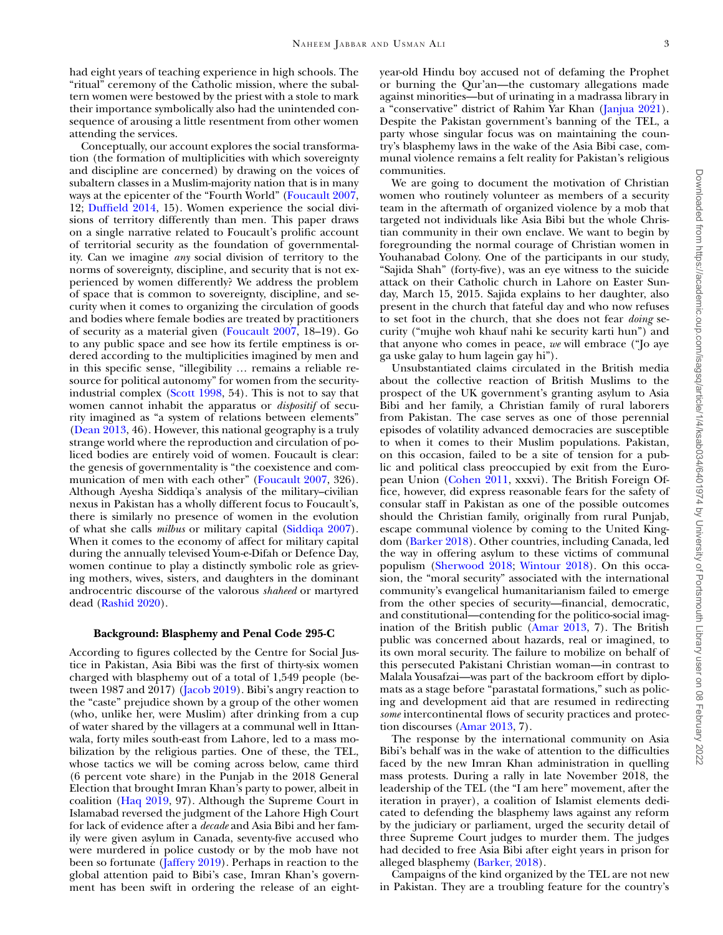had eight years of teaching experience in high schools. The "ritual" ceremony of the Catholic mission, where the subaltern women were bestowed by the priest with a stole to mark their importance symbolically also had the unintended consequence of arousing a little resentment from other women attending the services.

Conceptually, our account explores the social transformation (the formation of multiplicities with which sovereignty and discipline are concerned) by drawing on the voices of subaltern classes in a Muslim-majority nation that is in many ways at the epicenter of the "Fourth World" [\(Foucault 2007,](#page-9-0) 12; [Duffield 2014,](#page-9-3) 15). Women experience the social divisions of territory differently than men. This paper draws on a single narrative related to Foucault's prolific account of territorial security as the foundation of governmentality. Can we imagine *any* social division of territory to the norms of sovereignty, discipline, and security that is not experienced by women differently? We address the problem of space that is common to sovereignty, discipline, and security when it comes to organizing the circulation of goods and bodies where female bodies are treated by practitioners of security as a material given [\(Foucault 2007,](#page-9-0) 18–19). Go to any public space and see how its fertile emptiness is ordered according to the multiplicities imagined by men and in this specific sense, "illegibility … remains a reliable resource for political autonomy" for women from the securityindustrial complex [\(Scott 1998,](#page-10-7) 54). This is not to say that women cannot inhabit the apparatus or *dispositif* of security imagined as "a system of relations between elements" [\(Dean 2013,](#page-9-4) 46). However, this national geography is a truly strange world where the reproduction and circulation of policed bodies are entirely void of women. Foucault is clear: the genesis of governmentality is "the coexistence and communication of men with each other" [\(Foucault 2007,](#page-9-0) 326). Although Ayesha Siddiqa's analysis of the military–civilian nexus in Pakistan has a wholly different focus to Foucault's, there is similarly no presence of women in the evolution of what she calls *milbus* or military capital [\(Siddiqa 2007\)](#page-10-8). When it comes to the economy of affect for military capital during the annually televised Youm-e-Difah or Defence Day, women continue to play a distinctly symbolic role as grieving mothers, wives, sisters, and daughters in the dominant androcentric discourse of the valorous *shaheed* or martyred dead [\(Rashid 2020\)](#page-10-9).

## **Background: Blasphemy and Penal Code 295-C**

According to figures collected by the Centre for Social Justice in Pakistan, Asia Bibi was the first of thirty-six women charged with blasphemy out of a total of 1,549 people (be-tween 1987 and 2017) [\(Jacob 2019\)](#page-10-10). Bibi's angry reaction to the "caste" prejudice shown by a group of the other women (who, unlike her, were Muslim) after drinking from a cup of water shared by the villagers at a communal well in Ittanwala, forty miles south-east from Lahore, led to a mass mobilization by the religious parties. One of these, the TEL, whose tactics we will be coming across below, came third (6 percent vote share) in the Punjab in the 2018 General Election that brought Imran Khan's party to power, albeit in coalition [\(Haq 2019,](#page-10-11) 97). Although the Supreme Court in Islamabad reversed the judgment of the Lahore High Court for lack of evidence after a *decade* and Asia Bibi and her family were given asylum in Canada, seventy-five accused who were murdered in police custody or by the mob have not been so fortunate (*Jaffery 2019*). Perhaps in reaction to the global attention paid to Bibi's case, Imran Khan's government has been swift in ordering the release of an eightyear-old Hindu boy accused not of defaming the Prophet or burning the Qur'an—the customary allegations made against minorities—but of urinating in a madrassa library in a "conservative" district of Rahim Yar Khan [\(Janjua 2021\)](#page-10-13). Despite the Pakistan government's banning of the TEL, a party whose singular focus was on maintaining the country's blasphemy laws in the wake of the Asia Bibi case, communal violence remains a felt reality for Pakistan's religious communities.

We are going to document the motivation of Christian women who routinely volunteer as members of a security team in the aftermath of organized violence by a mob that targeted not individuals like Asia Bibi but the whole Christian community in their own enclave. We want to begin by foregrounding the normal courage of Christian women in Youhanabad Colony. One of the participants in our study, "Sajida Shah" (forty-five), was an eye witness to the suicide attack on their Catholic church in Lahore on Easter Sunday, March 15, 2015. Sajida explains to her daughter, also present in the church that fateful day and who now refuses to set foot in the church, that she does not fear *doing* security ("mujhe woh khauf nahi ke security karti hun") and that anyone who comes in peace, *we* will embrace ("Jo aye ga uske galay to hum lagein gay hi").

Unsubstantiated claims circulated in the British media about the collective reaction of British Muslims to the prospect of the UK government's granting asylum to Asia Bibi and her family, a Christian family of rural laborers from Pakistan. The case serves as one of those perennial episodes of volatility advanced democracies are susceptible to when it comes to their Muslim populations. Pakistan, on this occasion, failed to be a site of tension for a public and political class preoccupied by exit from the European Union [\(Cohen 2011,](#page-9-5) xxxvi). The British Foreign Office, however, did express reasonable fears for the safety of consular staff in Pakistan as one of the possible outcomes should the Christian family, originally from rural Punjab, escape communal violence by coming to the United Kingdom [\(Barker 2018\)](#page-9-6). Other countries, including Canada, led the way in offering asylum to these victims of communal populism [\(Sherwood 2018;](#page-10-14) [Wintour 2018\)](#page-10-15). On this occasion, the "moral security" associated with the international community's evangelical humanitarianism failed to emerge from the other species of security—financial, democratic, and constitutional—contending for the politico-social imagination of the British public [\(Amar 2013,](#page-9-7) 7). The British public was concerned about hazards, real or imagined, to its own moral security. The failure to mobilize on behalf of this persecuted Pakistani Christian woman—in contrast to Malala Yousafzai—was part of the backroom effort by diplomats as a stage before "parastatal formations," such as policing and development aid that are resumed in redirecting *some* intercontinental flows of security practices and protection discourses [\(Amar 2013,](#page-9-7) 7).

The response by the international community on Asia Bibi's behalf was in the wake of attention to the difficulties faced by the new Imran Khan administration in quelling mass protests. During a rally in late November 2018, the leadership of the TEL (the "I am here" movement, after the iteration in prayer), a coalition of Islamist elements dedicated to defending the blasphemy laws against any reform by the judiciary or parliament, urged the security detail of three Supreme Court judges to murder them. The judges had decided to free Asia Bibi after eight years in prison for alleged blasphemy [\(Barker, 2018\)](#page-9-6).

Campaigns of the kind organized by the TEL are not new in Pakistan. They are a troubling feature for the country's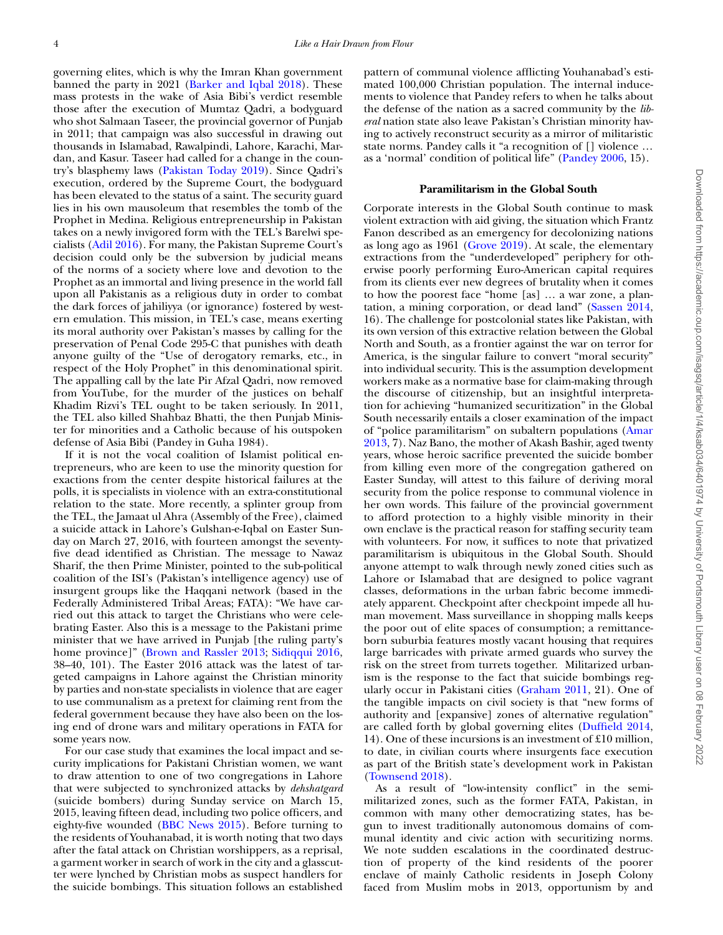governing elites, which is why the Imran Khan government banned the party in 2021 [\(Barker and Iqbal 2018\)](#page-9-8). These mass protests in the wake of Asia Bibi's verdict resemble those after the execution of Mumtaz Qadri, a bodyguard who shot Salmaan Taseer, the provincial governor of Punjab in 2011; that campaign was also successful in drawing out thousands in Islamabad, Rawalpindi, Lahore, Karachi, Mardan, and Kasur. Taseer had called for a change in the country's blasphemy laws [\(Pakistan Today 2019\)](#page-10-16). Since Qadri's execution, ordered by the Supreme Court, the bodyguard has been elevated to the status of a saint. The security guard lies in his own mausoleum that resembles the tomb of the Prophet in Medina. Religious entrepreneurship in Pakistan takes on a newly invigored form with the TEL's Barelwi specialists [\(Adil 2016\)](#page-9-9). For many, the Pakistan Supreme Court's decision could only be the subversion by judicial means of the norms of a society where love and devotion to the Prophet as an immortal and living presence in the world fall upon all Pakistanis as a religious duty in order to combat the dark forces of jahiliyya (or ignorance) fostered by western emulation. This mission, in TEL's case, means exerting its moral authority over Pakistan's masses by calling for the preservation of Penal Code 295-C that punishes with death anyone guilty of the "Use of derogatory remarks, etc., in respect of the Holy Prophet" in this denominational spirit. The appalling call by the late Pir Afzal Qadri, now removed from YouTube, for the murder of the justices on behalf Khadim Rizvi's TEL ought to be taken seriously. In 2011, the TEL also killed Shahbaz Bhatti, the then Punjab Minister for minorities and a Catholic because of his outspoken defense of Asia Bibi (Pandey in Guha 1984).

If it is not the vocal coalition of Islamist political entrepreneurs, who are keen to use the minority question for exactions from the center despite historical failures at the polls, it is specialists in violence with an extra-constitutional relation to the state. More recently, a splinter group from the TEL, the Jamaat ul Ahra (Assembly of the Free), claimed a suicide attack in Lahore's Gulshan-e-Iqbal on Easter Sunday on March 27, 2016, with fourteen amongst the seventyfive dead identified as Christian. The message to Nawaz Sharif, the then Prime Minister, pointed to the sub-political coalition of the ISI's (Pakistan's intelligence agency) use of insurgent groups like the Haqqani network (based in the Federally Administered Tribal Areas; FATA): "We have carried out this attack to target the Christians who were celebrating Easter. Also this is a message to the Pakistani prime minister that we have arrived in Punjab [the ruling party's home province]" [\(Brown and Rassler 2013;](#page-9-10) [Sidiqqui 2016,](#page-10-17) 38–40, 101). The Easter 2016 attack was the latest of targeted campaigns in Lahore against the Christian minority by parties and non-state specialists in violence that are eager to use communalism as a pretext for claiming rent from the federal government because they have also been on the losing end of drone wars and military operations in FATA for some years now.

For our case study that examines the local impact and security implications for Pakistani Christian women, we want to draw attention to one of two congregations in Lahore that were subjected to synchronized attacks by *dehshatgard* (suicide bombers) during Sunday service on March 15, 2015, leaving fifteen dead, including two police officers, and eighty-five wounded [\(BBC News 2015\)](#page-9-11). Before turning to the residents of Youhanabad, it is worth noting that two days after the fatal attack on Christian worshippers, as a reprisal, a garment worker in search of work in the city and a glasscutter were lynched by Christian mobs as suspect handlers for the suicide bombings. This situation follows an established

pattern of communal violence afflicting Youhanabad's estimated 100,000 Christian population. The internal inducements to violence that Pandey refers to when he talks about the defense of the nation as a sacred community by the *liberal* nation state also leave Pakistan's Christian minority having to actively reconstruct security as a mirror of militaristic state norms. Pandey calls it "a recognition of [] violence … as a 'normal' condition of political life" [\(Pandey 2006,](#page-10-18) 15).

## **Paramilitarism in the Global South**

Corporate interests in the Global South continue to mask violent extraction with aid giving, the situation which Frantz Fanon described as an emergency for decolonizing nations as long ago as 1961 [\(Grove 2019\)](#page-10-19). At scale, the elementary extractions from the "underdeveloped" periphery for otherwise poorly performing Euro-American capital requires from its clients ever new degrees of brutality when it comes to how the poorest face "home [as] … a war zone, a plantation, a mining corporation, or dead land" [\(Sassen 2014,](#page-10-20) 16). The challenge for postcolonial states like Pakistan, with its own version of this extractive relation between the Global North and South, as a frontier against the war on terror for America, is the singular failure to convert "moral security" into individual security. This is the assumption development workers make as a normative base for claim-making through the discourse of citizenship, but an insightful interpretation for achieving "humanized securitization" in the Global South necessarily entails a closer examination of the impact of "police paramilitarism" on subaltern populations (Amar [2013, 7\). Naz Bano, the mother of Akash Bashir, aged twenty](#page-9-7) years, whose heroic sacrifice prevented the suicide bomber from killing even more of the congregation gathered on Easter Sunday, will attest to this failure of deriving moral security from the police response to communal violence in her own words. This failure of the provincial government to afford protection to a highly visible minority in their own enclave is the practical reason for staffing security team with volunteers. For now, it suffices to note that privatized paramilitarism is ubiquitous in the Global South. Should anyone attempt to walk through newly zoned cities such as Lahore or Islamabad that are designed to police vagrant classes, deformations in the urban fabric become immediately apparent. Checkpoint after checkpoint impede all human movement. Mass surveillance in shopping malls keeps the poor out of elite spaces of consumption; a remittanceborn suburbia features mostly vacant housing that requires large barricades with private armed guards who survey the risk on the street from turrets together. Militarized urbanism is the response to the fact that suicide bombings regularly occur in Pakistani cities [\(Graham 2011,](#page-10-21) 21). One of the tangible impacts on civil society is that "new forms of authority and [expansive] zones of alternative regulation" are called forth by global governing elites [\(Duffield 2014,](#page-9-3) 14). One of these incursions is an investment of £10 million, to date, in civilian courts where insurgents face execution as part of the British state's development work in Pakistan [\(Townsend 2018\)](#page-10-22).

As a result of "low-intensity conflict" in the semimilitarized zones, such as the former FATA, Pakistan, in common with many other democratizing states, has begun to invest traditionally autonomous domains of communal identity and civic action with securitizing norms. We note sudden escalations in the coordinated destruction of property of the kind residents of the poorer enclave of mainly Catholic residents in Joseph Colony faced from Muslim mobs in 2013, opportunism by and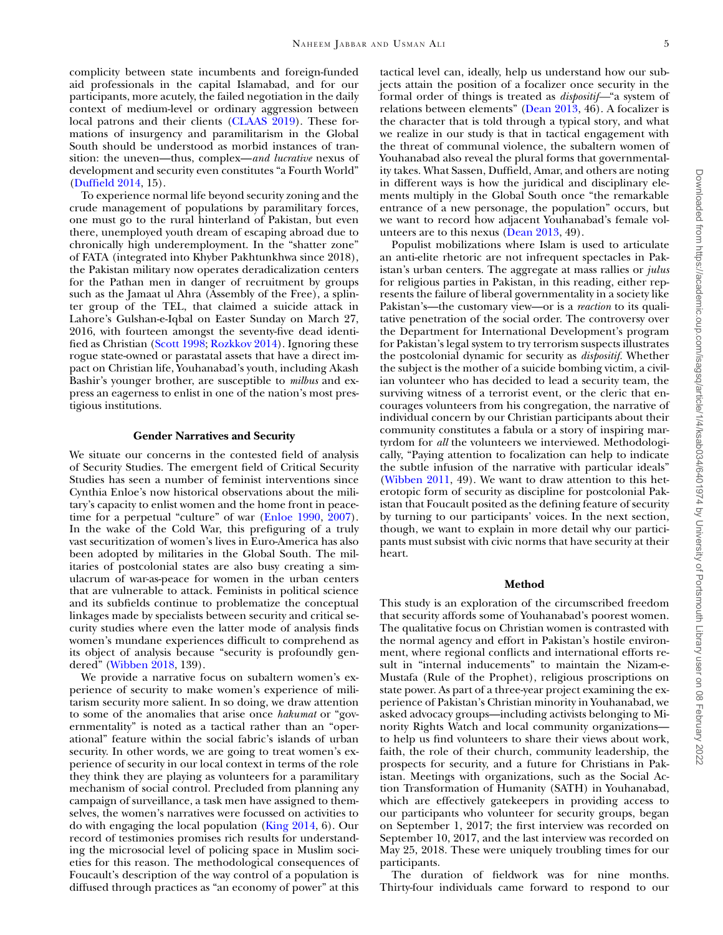complicity between state incumbents and foreign-funded aid professionals in the capital Islamabad, and for our participants, more acutely, the failed negotiation in the daily context of medium-level or ordinary aggression between local patrons and their clients [\(CLAAS 2019\)](#page-9-12). These formations of insurgency and paramilitarism in the Global South should be understood as morbid instances of transition: the uneven—thus, complex—*and lucrative* nexus of development and security even constitutes "a Fourth World" [\(Duffield 2014,](#page-9-3) 15).

To experience normal life beyond security zoning and the crude management of populations by paramilitary forces, one must go to the rural hinterland of Pakistan, but even there, unemployed youth dream of escaping abroad due to chronically high underemployment. In the "shatter zone" of FATA (integrated into Khyber Pakhtunkhwa since 2018), the Pakistan military now operates deradicalization centers for the Pathan men in danger of recruitment by groups such as the Jamaat ul Ahra (Assembly of the Free), a splinter group of the TEL, that claimed a suicide attack in Lahore's Gulshan-e-Iqbal on Easter Sunday on March 27, 2016, with fourteen amongst the seventy-five dead identified as Christian [\(Scott 1998;](#page-10-7) [Rozkkov 2014\)](#page-10-23). Ignoring these rogue state-owned or parastatal assets that have a direct impact on Christian life, Youhanabad's youth, including Akash Bashir's younger brother, are susceptible to *milbus* and express an eagerness to enlist in one of the nation's most prestigious institutions.

#### **Gender Narratives and Security**

We situate our concerns in the contested field of analysis of Security Studies. The emergent field of Critical Security Studies has seen a number of feminist interventions since Cynthia Enloe's now historical observations about the military's capacity to enlist women and the home front in peacetime for a perpetual "culture" of war [\(Enloe 1990,](#page-9-13) [2007\)](#page-9-14). In the wake of the Cold War, this prefiguring of a truly vast securitization of women's lives in Euro-America has also been adopted by militaries in the Global South. The militaries of postcolonial states are also busy creating a simulacrum of war-as-peace for women in the urban centers that are vulnerable to attack. Feminists in political science and its subfields continue to problematize the conceptual linkages made by specialists between security and critical security studies where even the latter mode of analysis finds women's mundane experiences difficult to comprehend as its object of analysis because "security is profoundly gendered" [\(Wibben 2018,](#page-10-4) 139).

We provide a narrative focus on subaltern women's experience of security to make women's experience of militarism security more salient. In so doing, we draw attention to some of the anomalies that arise once *hakumat* or "governmentality" is noted as a tactical rather than an "operational" feature within the social fabric's islands of urban security. In other words, we are going to treat women's experience of security in our local context in terms of the role they think they are playing as volunteers for a paramilitary mechanism of social control. Precluded from planning any campaign of surveillance, a task men have assigned to themselves, the women's narratives were focussed on activities to do with engaging the local population [\(King 2014,](#page-10-24) 6). Our record of testimonies promises rich results for understanding the microsocial level of policing space in Muslim societies for this reason. The methodological consequences of Foucault's description of the way control of a population is diffused through practices as "an economy of power" at this

tactical level can, ideally, help us understand how our subjects attain the position of a focalizer once security in the formal order of things is treated as *dispositif—*"a system of relations between elements" [\(Dean 2013,](#page-9-4) 46). A focalizer is the character that is told through a typical story, and what we realize in our study is that in tactical engagement with the threat of communal violence, the subaltern women of Youhanabad also reveal the plural forms that governmentality takes. What Sassen, Duffield, Amar, and others are noting in different ways is how the juridical and disciplinary elements multiply in the Global South once "the remarkable entrance of a new personage, the population" occurs, but we want to record how adjacent Youhanabad's female volunteers are to this nexus [\(Dean 2013,](#page-9-4) 49).

Populist mobilizations where Islam is used to articulate an anti-elite rhetoric are not infrequent spectacles in Pakistan's urban centers. The aggregate at mass rallies or *julus* for religious parties in Pakistan, in this reading, either represents the failure of liberal governmentality in a society like Pakistan's—the customary view—or is a *reaction* to its qualitative penetration of the social order. The controversy over the Department for International Development's program for Pakistan's legal system to try terrorism suspects illustrates the postcolonial dynamic for security as *dispositif.* Whether the subject is the mother of a suicide bombing victim, a civilian volunteer who has decided to lead a security team, the surviving witness of a terrorist event, or the cleric that encourages volunteers from his congregation, the narrative of individual concern by our Christian participants about their community constitutes a fabula or a story of inspiring martyrdom for *all* the volunteers we interviewed. Methodologically, "Paying attention to focalization can help to indicate the subtle infusion of the narrative with particular ideals" [\(Wibben 2011,](#page-10-25) 49). We want to draw attention to this heterotopic form of security as discipline for postcolonial Pakistan that Foucault posited as the defining feature of security by turning to our participants' voices. In the next section, though, we want to explain in more detail why our participants must subsist with civic norms that have security at their heart.

# **Method**

This study is an exploration of the circumscribed freedom that security affords some of Youhanabad's poorest women. The qualitative focus on Christian women is contrasted with the normal agency and effort in Pakistan's hostile environment, where regional conflicts and international efforts result in "internal inducements" to maintain the Nizam-e-Mustafa (Rule of the Prophet), religious proscriptions on state power. As part of a three-year project examining the experience of Pakistan's Christian minority in Youhanabad, we asked advocacy groups—including activists belonging to Minority Rights Watch and local community organizations to help us find volunteers to share their views about work, faith, the role of their church, community leadership, the prospects for security, and a future for Christians in Pakistan. Meetings with organizations, such as the Social Action Transformation of Humanity (SATH) in Youhanabad, which are effectively gatekeepers in providing access to our participants who volunteer for security groups, began on September 1, 2017; the first interview was recorded on September 10, 2017, and the last interview was recorded on May 25, 2018. These were uniquely troubling times for our participants.

The duration of fieldwork was for nine months. Thirty-four individuals came forward to respond to our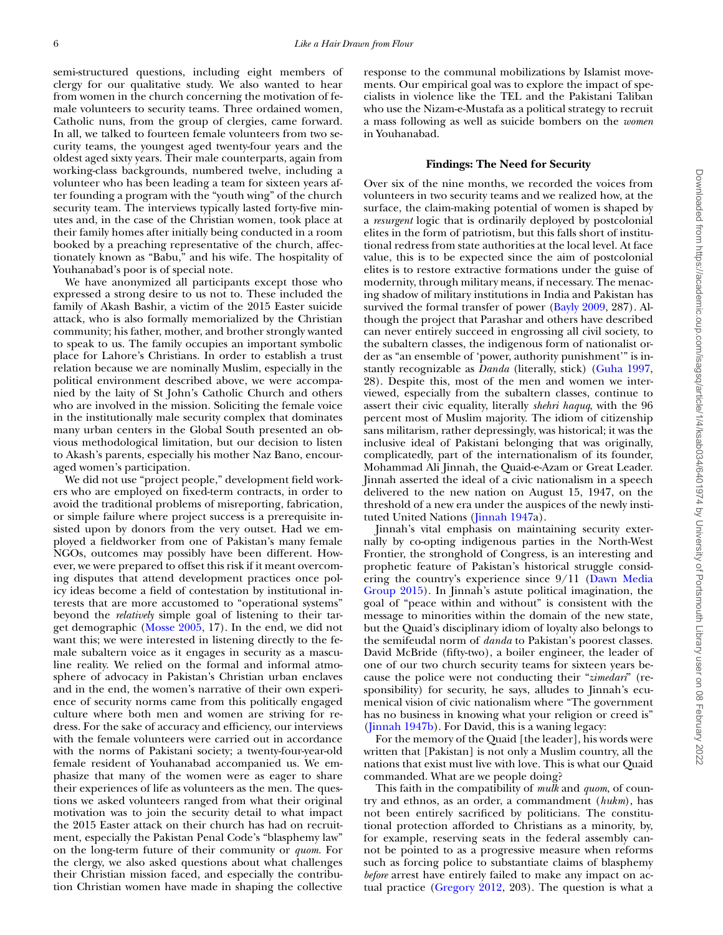semi-structured questions, including eight members of clergy for our qualitative study. We also wanted to hear from women in the church concerning the motivation of female volunteers to security teams. Three ordained women, Catholic nuns, from the group of clergies, came forward. In all, we talked to fourteen female volunteers from two security teams, the youngest aged twenty-four years and the oldest aged sixty years. Their male counterparts, again from working-class backgrounds, numbered twelve, including a volunteer who has been leading a team for sixteen years after founding a program with the "youth wing" of the church security team. The interviews typically lasted forty-five minutes and, in the case of the Christian women, took place at their family homes after initially being conducted in a room booked by a preaching representative of the church, affectionately known as "Babu," and his wife. The hospitality of Youhanabad's poor is of special note.

We have anonymized all participants except those who expressed a strong desire to us not to. These included the family of Akash Bashir, a victim of the 2015 Easter suicide attack, who is also formally memorialized by the Christian community; his father, mother, and brother strongly wanted to speak to us. The family occupies an important symbolic place for Lahore's Christians. In order to establish a trust relation because we are nominally Muslim, especially in the political environment described above, we were accompanied by the laity of St John's Catholic Church and others who are involved in the mission. Soliciting the female voice in the institutionally male security complex that dominates many urban centers in the Global South presented an obvious methodological limitation, but our decision to listen to Akash's parents, especially his mother Naz Bano, encouraged women's participation.

We did not use "project people," development field workers who are employed on fixed-term contracts, in order to avoid the traditional problems of misreporting, fabrication, or simple failure where project success is a prerequisite insisted upon by donors from the very outset. Had we employed a fieldworker from one of Pakistan's many female NGOs, outcomes may possibly have been different. However, we were prepared to offset this risk if it meant overcoming disputes that attend development practices once policy ideas become a field of contestation by institutional interests that are more accustomed to "operational systems" beyond the *relatively* simple goal of listening to their target demographic [\(Mosse 2005,](#page-10-26) 17). In the end, we did not want this; we were interested in listening directly to the female subaltern voice as it engages in security as a masculine reality. We relied on the formal and informal atmosphere of advocacy in Pakistan's Christian urban enclaves and in the end, the women's narrative of their own experience of security norms came from this politically engaged culture where both men and women are striving for redress. For the sake of accuracy and efficiency, our interviews with the female volunteers were carried out in accordance with the norms of Pakistani society; a twenty-four-year-old female resident of Youhanabad accompanied us. We emphasize that many of the women were as eager to share their experiences of life as volunteers as the men. The questions we asked volunteers ranged from what their original motivation was to join the security detail to what impact the 2015 Easter attack on their church has had on recruitment, especially the Pakistan Penal Code's "blasphemy law" on the long-term future of their community or *quom.* For the clergy, we also asked questions about what challenges their Christian mission faced, and especially the contribution Christian women have made in shaping the collective response to the communal mobilizations by Islamist movements. Our empirical goal was to explore the impact of specialists in violence like the TEL and the Pakistani Taliban who use the Nizam-e-Mustafa as a political strategy to recruit a mass following as well as suicide bombers on the *women* in Youhanabad.

## **Findings: The Need for Security**

Over six of the nine months, we recorded the voices from volunteers in two security teams and we realized how, at the surface, the claim-making potential of women is shaped by a *resurgent* logic that is ordinarily deployed by postcolonial elites in the form of patriotism, but this falls short of institutional redress from state authorities at the local level. At face value, this is to be expected since the aim of postcolonial elites is to restore extractive formations under the guise of modernity, through military means, if necessary. The menacing shadow of military institutions in India and Pakistan has survived the formal transfer of power [\(Bayly 2009,](#page-9-15) 287). Although the project that Parashar and others have described can never entirely succeed in engrossing all civil society, to the subaltern classes, the indigenous form of nationalist order as "an ensemble of 'power, authority punishment'" is instantly recognizable as *Danda* (literally, stick) [\(Guha 1997,](#page-10-27) 28). Despite this, most of the men and women we interviewed, especially from the subaltern classes, continue to assert their civic equality, literally *shehri haquq*, with the 96 percent most of Muslim majority. The idiom of citizenship sans militarism, rather depressingly, was historical; it was the inclusive ideal of Pakistani belonging that was originally, complicatedly, part of the internationalism of its founder, Mohammad Ali Jinnah, the Quaid-e-Azam or Great Leader. Jinnah asserted the ideal of a civic nationalism in a speech delivered to the new nation on August 15, 1947, on the threshold of a new era under the auspices of the newly instituted United Nations [\(Jinnah 1947a](#page-10-28)).

Jinnah's vital emphasis on maintaining security externally by co-opting indigenous parties in the North-West Frontier, the stronghold of Congress, is an interesting and prophetic feature of Pakistan's historical struggle considering the country's experience since 9/11 (Dawn Media [Group 2015\). In Jinnah's astute political imagination, the](#page-9-16) goal of "peace within and without" is consistent with the message to minorities within the domain of the new state, but the Quaid's disciplinary idiom of loyalty also belongs to the semifeudal norm of *danda* to Pakistan's poorest classes. David McBride (fifty-two), a boiler engineer, the leader of one of our two church security teams for sixteen years because the police were not conducting their "*zimedari*" (responsibility) for security, he says, alludes to Jinnah's ecumenical vision of civic nationalism where "The government has no business in knowing what your religion or creed is" [\(Jinnah 1947b\)](#page-10-29). For David, this is a waning legacy:

For the memory of the Quaid [the leader], his words were written that [Pakistan] is not only a Muslim country, all the nations that exist must live with love. This is what our Quaid commanded. What are we people doing?

This faith in the compatibility of *mulk* and *quom*, of country and ethnos, as an order, a commandment (*hukm*), has not been entirely sacrificed by politicians. The constitutional protection afforded to Christians as a minority, by, for example, reserving seats in the federal assembly cannot be pointed to as a progressive measure when reforms such as forcing police to substantiate claims of blasphemy *before* arrest have entirely failed to make any impact on actual practice [\(Gregory 2012,](#page-10-30) 203). The question is what a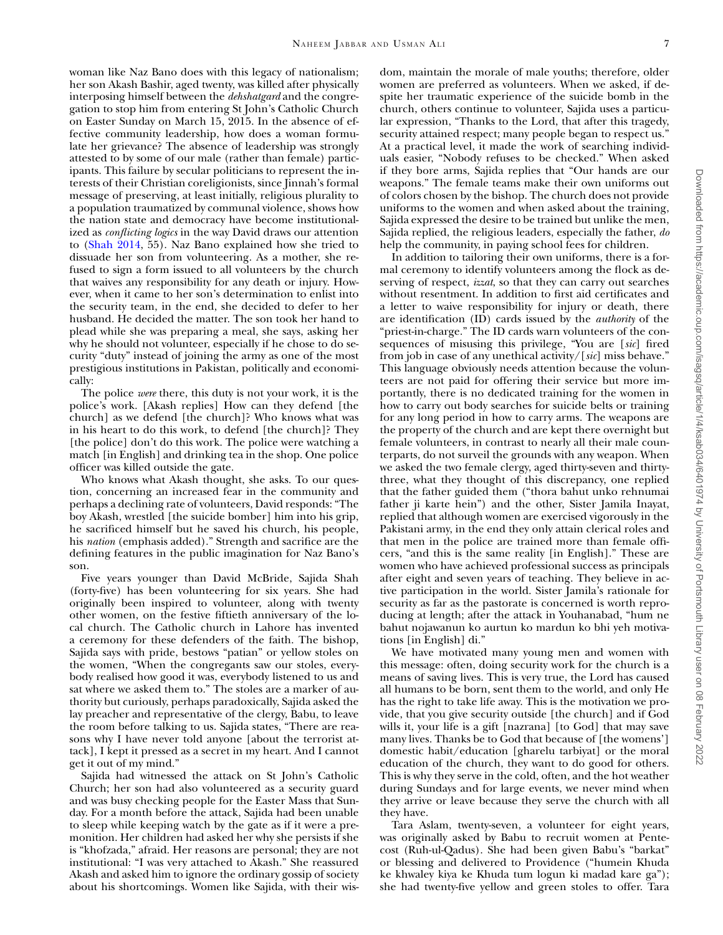woman like Naz Bano does with this legacy of nationalism; her son Akash Bashir, aged twenty, was killed after physically interposing himself between the *dehshatgard* and the congregation to stop him from entering St John's Catholic Church on Easter Sunday on March 15, 2015. In the absence of effective community leadership, how does a woman formulate her grievance? The absence of leadership was strongly attested to by some of our male (rather than female) participants. This failure by secular politicians to represent the interests of their Christian coreligionists, since Jinnah's formal message of preserving, at least initially, religious plurality to a population traumatized by communal violence, shows how the nation state and democracy have become institutionalized as *conflicting logics* in the way David draws our attention to [\(Shah 2014,](#page-10-31) 55). Naz Bano explained how she tried to dissuade her son from volunteering. As a mother, she refused to sign a form issued to all volunteers by the church that waives any responsibility for any death or injury. However, when it came to her son's determination to enlist into the security team, in the end, she decided to defer to her husband. He decided the matter. The son took her hand to plead while she was preparing a meal, she says, asking her why he should not volunteer, especially if he chose to do security "duty" instead of joining the army as one of the most prestigious institutions in Pakistan, politically and economically:

The police *were* there, this duty is not your work, it is the police's work. [Akash replies] How can they defend [the church] as we defend [the church]? Who knows what was in his heart to do this work, to defend [the church]? They [the police] don't do this work. The police were watching a match [in English] and drinking tea in the shop. One police officer was killed outside the gate.

Who knows what Akash thought, she asks. To our question, concerning an increased fear in the community and perhaps a declining rate of volunteers, David responds: "The boy Akash, wrestled [the suicide bomber] him into his grip, he sacrificed himself but he saved his church, his people, his *nation* (emphasis added)." Strength and sacrifice are the defining features in the public imagination for Naz Bano's son.

Five years younger than David McBride, Sajida Shah (forty-five) has been volunteering for six years. She had originally been inspired to volunteer, along with twenty other women, on the festive fiftieth anniversary of the local church. The Catholic church in Lahore has invented a ceremony for these defenders of the faith. The bishop, Sajida says with pride, bestows "patian" or yellow stoles on the women, "When the congregants saw our stoles, everybody realised how good it was, everybody listened to us and sat where we asked them to." The stoles are a marker of authority but curiously, perhaps paradoxically, Sajida asked the lay preacher and representative of the clergy, Babu, to leave the room before talking to us. Sajida states, "There are reasons why I have never told anyone [about the terrorist attack], I kept it pressed as a secret in my heart. And I cannot get it out of my mind."

Sajida had witnessed the attack on St John's Catholic Church; her son had also volunteered as a security guard and was busy checking people for the Easter Mass that Sunday. For a month before the attack, Sajida had been unable to sleep while keeping watch by the gate as if it were a premonition. Her children had asked her why she persists if she is "khofzada," afraid. Her reasons are personal; they are not institutional: "I was very attached to Akash." She reassured Akash and asked him to ignore the ordinary gossip of society about his shortcomings. Women like Sajida, with their wisdom, maintain the morale of male youths; therefore, older women are preferred as volunteers. When we asked, if despite her traumatic experience of the suicide bomb in the church, others continue to volunteer, Sajida uses a particular expression, "Thanks to the Lord, that after this tragedy, security attained respect; many people began to respect us." At a practical level, it made the work of searching individuals easier, "Nobody refuses to be checked." When asked if they bore arms, Sajida replies that "Our hands are our weapons." The female teams make their own uniforms out of colors chosen by the bishop. The church does not provide uniforms to the women and when asked about the training, Sajida expressed the desire to be trained but unlike the men, Sajida replied, the religious leaders, especially the father, *do* help the community, in paying school fees for children.

In addition to tailoring their own uniforms, there is a formal ceremony to identify volunteers among the flock as deserving of respect, *izzat*, so that they can carry out searches without resentment. In addition to first aid certificates and a letter to waive responsibility for injury or death, there are identification (ID) cards issued by the *authority* of the "priest-in-charge." The ID cards warn volunteers of the consequences of misusing this privilege, "You are [*sic*] fired from job in case of any unethical activity/[*sic*] miss behave." This language obviously needs attention because the volunteers are not paid for offering their service but more importantly, there is no dedicated training for the women in how to carry out body searches for suicide belts or training for any long period in how to carry arms. The weapons are the property of the church and are kept there overnight but female volunteers, in contrast to nearly all their male counterparts, do not surveil the grounds with any weapon. When we asked the two female clergy, aged thirty-seven and thirtythree, what they thought of this discrepancy, one replied that the father guided them ("thora bahut unko rehnumai father ji karte hein") and the other, Sister Jamila Inayat, replied that although women are exercised vigorously in the Pakistani army, in the end they only attain clerical roles and that men in the police are trained more than female officers, "and this is the same reality [in English]." These are women who have achieved professional success as principals after eight and seven years of teaching. They believe in active participation in the world. Sister Jamila's rationale for security as far as the pastorate is concerned is worth reproducing at length; after the attack in Youhanabad, "hum ne bahut nojawanun ko aurtun ko mardun ko bhi yeh motivations [in English] di."

We have motivated many young men and women with this message: often, doing security work for the church is a means of saving lives. This is very true, the Lord has caused all humans to be born, sent them to the world, and only He has the right to take life away. This is the motivation we provide, that you give security outside [the church] and if God wills it, your life is a gift [nazrana] [to God] that may save many lives. Thanks be to God that because of [the womens'] domestic habit/education [gharelu tarbiyat] or the moral education of the church, they want to do good for others. This is why they serve in the cold, often, and the hot weather during Sundays and for large events, we never mind when they arrive or leave because they serve the church with all they have.

Tara Aslam, twenty-seven, a volunteer for eight years, was originally asked by Babu to recruit women at Pentecost (Ruh-ul-Qadus). She had been given Babu's "barkat" or blessing and delivered to Providence ("humein Khuda ke khwaley kiya ke Khuda tum logun ki madad kare ga"); she had twenty-five yellow and green stoles to offer. Tara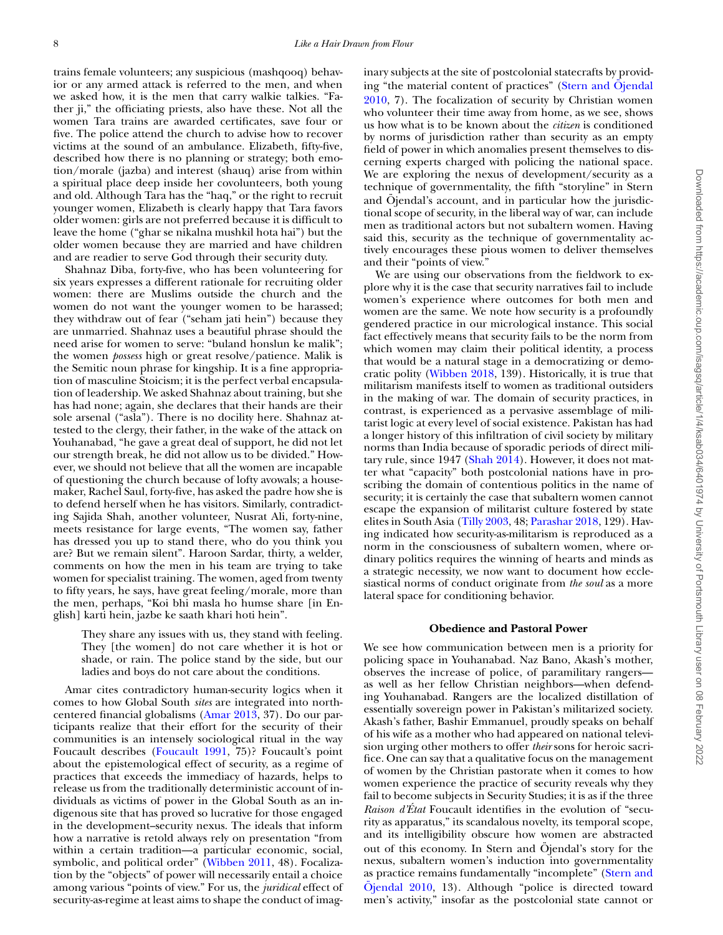trains female volunteers; any suspicious (mashqooq) behavior or any armed attack is referred to the men, and when we asked how, it is the men that carry walkie talkies. "Father ji," the officiating priests, also have these. Not all the women Tara trains are awarded certificates, save four or five. The police attend the church to advise how to recover victims at the sound of an ambulance. Elizabeth, fifty-five, described how there is no planning or strategy; both emotion/morale (jazba) and interest (shauq) arise from within a spiritual place deep inside her covolunteers, both young and old. Although Tara has the "haq," or the right to recruit younger women, Elizabeth is clearly happy that Tara favors older women: girls are not preferred because it is difficult to leave the home ("ghar se nikalna mushkil hota hai") but the older women because they are married and have children and are readier to serve God through their security duty.

Shahnaz Diba, forty-five, who has been volunteering for six years expresses a different rationale for recruiting older women: there are Muslims outside the church and the women do not want the younger women to be harassed; they withdraw out of fear ("seham jati hein") because they are unmarried. Shahnaz uses a beautiful phrase should the need arise for women to serve: "buland honslun ke malik"; the women *possess* high or great resolve/patience. Malik is the Semitic noun phrase for kingship. It is a fine appropriation of masculine Stoicism; it is the perfect verbal encapsulation of leadership. We asked Shahnaz about training, but she has had none; again, she declares that their hands are their sole arsenal ("asla"). There is no docility here. Shahnaz attested to the clergy, their father, in the wake of the attack on Youhanabad, "he gave a great deal of support, he did not let our strength break, he did not allow us to be divided." However, we should not believe that all the women are incapable of questioning the church because of lofty avowals; a housemaker, Rachel Saul, forty-five, has asked the padre how she is to defend herself when he has visitors. Similarly, contradicting Sajida Shah, another volunteer, Nusrat Ali, forty-nine, meets resistance for large events, "The women say, father has dressed you up to stand there, who do you think you are? But we remain silent". Haroon Sardar, thirty, a welder, comments on how the men in his team are trying to take women for specialist training. The women, aged from twenty to fifty years, he says, have great feeling/morale, more than the men, perhaps, "Koi bhi masla ho humse share [in English] karti hein, jazbe ke saath khari hoti hein".

They share any issues with us, they stand with feeling. They [the women] do not care whether it is hot or shade, or rain. The police stand by the side, but our ladies and boys do not care about the conditions.

Amar cites contradictory human-security logics when it comes to how Global South *sites* are integrated into northcentered financial globalisms [\(Amar 2013,](#page-9-7) 37). Do our participants realize that their effort for the security of their communities is an intensely sociological ritual in the way Foucault describes [\(Foucault 1991,](#page-9-17) 75)? Foucault's point about the epistemological effect of security, as a regime of practices that exceeds the immediacy of hazards, helps to release us from the traditionally deterministic account of individuals as victims of power in the Global South as an indigenous site that has proved so lucrative for those engaged in the development–security nexus. The ideals that inform how a narrative is retold always rely on presentation "from within a certain tradition—a particular economic, social, symbolic, and political order" [\(Wibben 2011,](#page-10-25) 48). Focalization by the "objects" of power will necessarily entail a choice among various "points of view." For us, the *juridical* effect of security-as-regime at least aims to shape the conduct of imaginary subjects at the site of postcolonial statecrafts by providing "the material content of practices" (Stern and Öjendal [2010, 7\). The focalization of security by Christian women](#page-10-32) who volunteer their time away from home, as we see, shows us how what is to be known about the *citizen* is conditioned by norms of jurisdiction rather than security as an empty field of power in which anomalies present themselves to discerning experts charged with policing the national space. We are exploring the nexus of development/security as a technique of governmentality, the fifth "storyline" in Stern and Öjendal's account, and in particular how the jurisdictional scope of security, in the liberal way of war, can include men as traditional actors but not subaltern women. Having said this, security as the technique of governmentality actively encourages these pious women to deliver themselves and their "points of view."

We are using our observations from the fieldwork to explore why it is the case that security narratives fail to include women's experience where outcomes for both men and women are the same. We note how security is a profoundly gendered practice in our micrological instance. This social fact effectively means that security fails to be the norm from which women may claim their political identity, a process that would be a natural stage in a democratizing or democratic polity [\(Wibben 2018,](#page-10-4) 139). Historically, it is true that militarism manifests itself to women as traditional outsiders in the making of war. The domain of security practices, in contrast, is experienced as a pervasive assemblage of militarist logic at every level of social existence. Pakistan has had a longer history of this infiltration of civil society by military norms than India because of sporadic periods of direct military rule, since 1947 [\(Shah 2014\)](#page-10-31). However, it does not matter what "capacity" both postcolonial nations have in proscribing the domain of contentious politics in the name of security; it is certainly the case that subaltern women cannot escape the expansion of militarist culture fostered by state elites in South Asia [\(Tilly 2003,](#page-10-0) 48; [Parashar 2018,](#page-10-33) 129). Having indicated how security-as-militarism is reproduced as a norm in the consciousness of subaltern women, where ordinary politics requires the winning of hearts and minds as a strategic necessity, we now want to document how ecclesiastical norms of conduct originate from *the soul* as a more lateral space for conditioning behavior.

## **Obedience and Pastoral Power**

We see how communication between men is a priority for policing space in Youhanabad. Naz Bano, Akash's mother, observes the increase of police, of paramilitary rangers as well as her fellow Christian neighbors—when defending Youhanabad. Rangers are the localized distillation of essentially sovereign power in Pakistan's militarized society. Akash's father, Bashir Emmanuel, proudly speaks on behalf of his wife as a mother who had appeared on national television urging other mothers to offer *their* sons for heroic sacrifice. One can say that a qualitative focus on the management of women by the Christian pastorate when it comes to how women experience the practice of security reveals why they fail to become subjects in Security Studies; it is as if the three *Raison d'État* Foucault identifies in the evolution of "security as apparatus," its scandalous novelty, its temporal scope, and its intelligibility obscure how women are abstracted out of this economy. In Stern and Öjendal's story for the nexus, subaltern women's induction into governmentality as practice remains fundamentally "incomplete" (Stern and [Öjendal 2010, 13\). Although "police is directed toward](#page-10-32) men's activity," insofar as the postcolonial state cannot or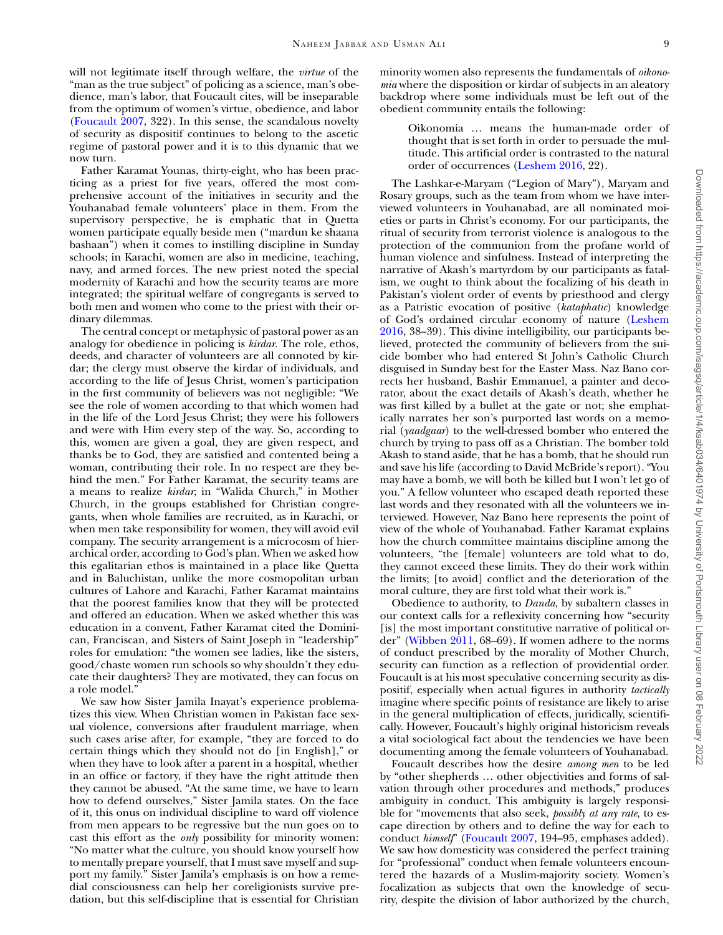will not legitimate itself through welfare, the *virtue* of the "man as the true subject" of policing as a science, man's obedience, man's labor, that Foucault cites, will be inseparable from the optimum of women's virtue, obedience, and labor [\(Foucault 2007,](#page-9-0) 322). In this sense, the scandalous novelty of security as dispositif continues to belong to the ascetic regime of pastoral power and it is to this dynamic that we now turn.

Father Karamat Younas, thirty-eight, who has been practicing as a priest for five years, offered the most comprehensive account of the initiatives in security and the Youhanabad female volunteers' place in them. From the supervisory perspective, he is emphatic that in Quetta women participate equally beside men ("mardun ke shaana bashaan") when it comes to instilling discipline in Sunday schools; in Karachi, women are also in medicine, teaching, navy, and armed forces. The new priest noted the special modernity of Karachi and how the security teams are more integrated; the spiritual welfare of congregants is served to both men and women who come to the priest with their ordinary dilemmas.

The central concept or metaphysic of pastoral power as an analogy for obedience in policing is *kirdar*. The role, ethos, deeds, and character of volunteers are all connoted by kirdar; the clergy must observe the kirdar of individuals, and according to the life of Jesus Christ, women's participation in the first community of believers was not negligible: "We see the role of women according to that which women had in the life of the Lord Jesus Christ; they were his followers and were with Him every step of the way. So, according to this, women are given a goal, they are given respect, and thanks be to God, they are satisfied and contented being a woman, contributing their role. In no respect are they behind the men." For Father Karamat, the security teams are a means to realize *kirdar*; in "Walida Church," in Mother Church, in the groups established for Christian congregants, when whole families are recruited, as in Karachi, or when men take responsibility for women, they will avoid evil company. The security arrangement is a microcosm of hierarchical order, according to God's plan. When we asked how this egalitarian ethos is maintained in a place like Quetta and in Baluchistan, unlike the more cosmopolitan urban cultures of Lahore and Karachi, Father Karamat maintains that the poorest families know that they will be protected and offered an education. When we asked whether this was education in a convent, Father Karamat cited the Dominican, Franciscan, and Sisters of Saint Joseph in "leadership" roles for emulation: "the women see ladies, like the sisters, good/chaste women run schools so why shouldn't they educate their daughters? They are motivated, they can focus on a role model."

We saw how Sister Jamila Inayat's experience problematizes this view. When Christian women in Pakistan face sexual violence, conversions after fraudulent marriage, when such cases arise after, for example, "they are forced to do certain things which they should not do [in English]," or when they have to look after a parent in a hospital, whether in an office or factory, if they have the right attitude then they cannot be abused. "At the same time, we have to learn how to defend ourselves," Sister Jamila states. On the face of it, this onus on individual discipline to ward off violence from men appears to be regressive but the nun goes on to cast this effort as the *only* possibility for minority women: "No matter what the culture, you should know yourself how to mentally prepare yourself, that I must save myself and support my family." Sister Jamila's emphasis is on how a remedial consciousness can help her coreligionists survive predation, but this self-discipline that is essential for Christian

minority women also represents the fundamentals of *oikonomia* where the disposition or kirdar of subjects in an aleatory backdrop where some individuals must be left out of the obedient community entails the following:

Oikonomia … means the human-made order of thought that is set forth in order to persuade the multitude. This artificial order is contrasted to the natural order of occurrences [\(Leshem 2016,](#page-10-34) 22).

The Lashkar-e-Maryam ("Legion of Mary"), Maryam and Rosary groups, such as the team from whom we have interviewed volunteers in Youhanabad, are all nominated moieties or parts in Christ's economy. For our participants, the ritual of security from terrorist violence is analogous to the protection of the communion from the profane world of human violence and sinfulness. Instead of interpreting the narrative of Akash's martyrdom by our participants as fatalism, we ought to think about the focalizing of his death in Pakistan's violent order of events by priesthood and clergy as a Patristic evocation of positive (*kataphatic*) knowledge [of God's ordained circular economy of nature \(Leshem](#page-10-34) 2016, 38–39). This divine intelligibility, our participants believed, protected the community of believers from the suicide bomber who had entered St John's Catholic Church disguised in Sunday best for the Easter Mass. Naz Bano corrects her husband, Bashir Emmanuel, a painter and decorator, about the exact details of Akash's death, whether he was first killed by a bullet at the gate or not; she emphatically narrates her son's purported last words on a memorial (*yaadgaar*) to the well-dressed bomber who entered the church by trying to pass off as a Christian. The bomber told Akash to stand aside, that he has a bomb, that he should run and save his life (according to David McBride's report). "You may have a bomb, we will both be killed but I won't let go of you." A fellow volunteer who escaped death reported these last words and they resonated with all the volunteers we interviewed. However, Naz Bano here represents the point of view of the whole of Youhanabad. Father Karamat explains how the church committee maintains discipline among the volunteers, "the [female] volunteers are told what to do, they cannot exceed these limits. They do their work within the limits; [to avoid] conflict and the deterioration of the moral culture, they are first told what their work is."

Obedience to authority, to *Danda*, by subaltern classes in our context calls for a reflexivity concerning how "security [is] the most important constitutive narrative of political order" [\(Wibben 2011,](#page-10-25) 68–69). If women adhere to the norms of conduct prescribed by the morality of Mother Church, security can function as a reflection of providential order. Foucault is at his most speculative concerning security as dispositif, especially when actual figures in authority *tactically* imagine where specific points of resistance are likely to arise in the general multiplication of effects, juridically, scientifically. However, Foucault's highly original historicism reveals a vital sociological fact about the tendencies we have been documenting among the female volunteers of Youhanabad.

Foucault describes how the desire *among men* to be led by "other shepherds … other objectivities and forms of salvation through other procedures and methods," produces ambiguity in conduct. This ambiguity is largely responsible for "movements that also seek, *possibly at any rate*, to escape direction by others and to define the way for each to conduct *himself*" [\(Foucault 2007,](#page-9-0) 194–95, emphases added). We saw how domesticity was considered the perfect training for "professional" conduct when female volunteers encountered the hazards of a Muslim-majority society. Women's focalization as subjects that own the knowledge of security, despite the division of labor authorized by the church,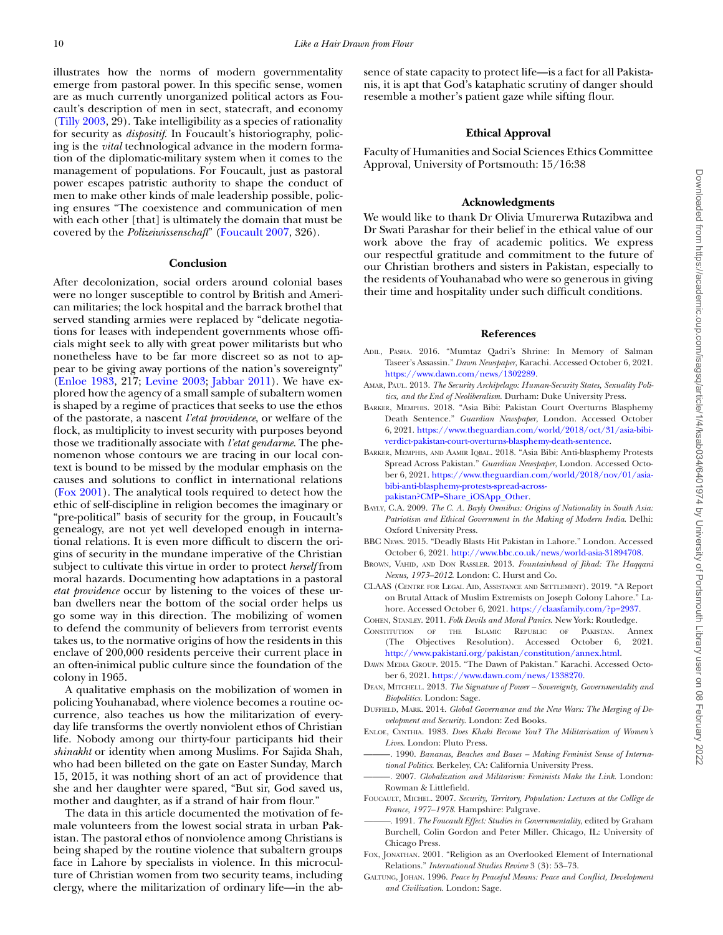illustrates how the norms of modern governmentality emerge from pastoral power. In this specific sense, women are as much currently unorganized political actors as Foucault's description of men in sect, statecraft, and economy [\(Tilly 2003,](#page-10-0) 29). Take intelligibility as a species of rationality for security as *dispositif*. In Foucault's historiography, policing is the *vital* technological advance in the modern formation of the diplomatic-military system when it comes to the management of populations. For Foucault, just as pastoral power escapes patristic authority to shape the conduct of men to make other kinds of male leadership possible, policing ensures "The coexistence and communication of men with each other [that] is ultimately the domain that must be covered by the *Polizeiwissenschaft*" [\(Foucault 2007,](#page-9-0) 326).

#### **Conclusion**

After decolonization, social orders around colonial bases were no longer susceptible to control by British and American militaries; the lock hospital and the barrack brothel that served standing armies were replaced by "delicate negotiations for leases with independent governments whose officials might seek to ally with great power militarists but who nonetheless have to be far more discreet so as not to appear to be giving away portions of the nation's sovereignty" [\(Enloe 1983,](#page-9-18) 217; [Levine 2003;](#page-10-35) [Jabbar 2011\)](#page-10-36). We have explored how the agency of a small sample of subaltern women is shaped by a regime of practices that seeks to use the ethos of the pastorate, a nascent *l'etat providence*, or welfare of the flock, as multiplicity to invest security with purposes beyond those we traditionally associate with *l'etat gendarme*. The phenomenon whose contours we are tracing in our local context is bound to be missed by the modular emphasis on the causes and solutions to conflict in international relations [\(Fox 2001\)](#page-9-19). The analytical tools required to detect how the ethic of self-discipline in religion becomes the imaginary or "pre-political" basis of security for the group, in Foucault's genealogy, are not yet well developed enough in international relations. It is even more difficult to discern the origins of security in the mundane imperative of the Christian subject to cultivate this virtue in order to protect *herself* from moral hazards. Documenting how adaptations in a pastoral *etat providence* occur by listening to the voices of these urban dwellers near the bottom of the social order helps us go some way in this direction. The mobilizing of women to defend the community of believers from terrorist events takes us, to the normative origins of how the residents in this enclave of 200,000 residents perceive their current place in an often-inimical public culture since the foundation of the colony in 1965.

A qualitative emphasis on the mobilization of women in policing Youhanabad, where violence becomes a routine occurrence, also teaches us how the militarization of everyday life transforms the overtly nonviolent ethos of Christian life. Nobody among our thirty-four participants hid their *shinakht* or identity when among Muslims. For Sajida Shah, who had been billeted on the gate on Easter Sunday, March 15, 2015, it was nothing short of an act of providence that she and her daughter were spared, "But sir, God saved us, mother and daughter, as if a strand of hair from flour."

The data in this article documented the motivation of female volunteers from the lowest social strata in urban Pakistan. The pastoral ethos of nonviolence among Christians is being shaped by the routine violence that subaltern groups face in Lahore by specialists in violence. In this microculture of Christian women from two security teams, including clergy, where the militarization of ordinary life—in the absence of state capacity to protect life—is a fact for all Pakistanis, it is apt that God's kataphatic scrutiny of danger should resemble a mother's patient gaze while sifting flour.

# **Ethical Approval**

Faculty of Humanities and Social Sciences Ethics Committee Approval, University of Portsmouth: 15/16:38

## **Acknowledgments**

We would like to thank Dr Olivia Umurerwa Rutazibwa and Dr Swati Parashar for their belief in the ethical value of our work above the fray of academic politics. We express our respectful gratitude and commitment to the future of our Christian brothers and sisters in Pakistan, especially to the residents of Youhanabad who were so generous in giving their time and hospitality under such difficult conditions.

#### **References**

- <span id="page-9-9"></span>ADIL, PASHA. 2016. "Mumtaz Qadri's Shrine: In Memory of Salman Taseer's Assassin." *Dawn Newspaper*, Karachi. Accessed October 6, 2021. [https://www.dawn.com/news/1302289.](https://www.dawn.com/news/1302289)
- <span id="page-9-7"></span>AMAR, PAUL. 2013. *The Security Archipelago: Human-Security States, Sexuality Politics, and the End of Neoliberalism*. Durham: Duke University Press.
- <span id="page-9-6"></span>BARKER, MEMPHIS. 2018. "Asia Bibi: Pakistan Court Overturns Blasphemy Death Sentence." *Guardian Newspaper*, London. Accessed October 6, 2021. [https://www.theguardian.com/world/2018/oct/31/asia-bibi](https://www.theguardian.com/world/2018/oct/31/asia-bibi-verdict-pakistan-court-overturns-blasphemy-death-sentence)verdict-pakistan-court-overturns-blasphemy-death-sentence.
- <span id="page-9-8"></span>BARKER, MEMPHIS, AND AAMIR IQBAL. 2018. "Asia Bibi: Anti-blasphemy Protests Spread Across Pakistan." *Guardian Newspaper*, London. Accessed October 6, 2021. [https://www.theguardian.com/world/2018/nov/01/asia](https://www.theguardian.com/world/2018/nov/01/asia-bibi-anti-blasphemy-protests-spread-across-pakistan?CMP\begingroup \count@ "003D\relax \relax \uccode `\unhbox \voidb@x \bgroup \let \unhbox \voidb@x \setbox \@tempboxa \hbox {\count@ \global \mathchardef \accent@spacefactor \spacefactor }\accent 126 \count@ \egroup \spacefactor \accent@spacefactor \uppercase {\gdef 9{{\char )bibi-anti-blasphemy-protests-spread-acrosspakistan?CMP=Share\_iOSApp\_Other.
- <span id="page-9-15"></span>BAYLY, C.A. 2009. *The C. A. Bayly Omnibus: Origins of Nationality in South Asia: Patriotism and Ethical Government in the Making of Modern India*. Delhi: Oxford University Press.
- <span id="page-9-11"></span>BBC NEWS. 2015. "Deadly Blasts Hit Pakistan in Lahore." London. Accessed October 6, 2021. [http://www.bbc.co.uk/news/world-asia-31894708.](http://www.bbc.co.uk/news/world-asia-31894708)
- <span id="page-9-10"></span>BROWN, VAHID, AND DON RASSLER. 2013. *Fountainhead of Jihad: The Haqqani Nexus, 1973–2012*. London: C. Hurst and Co.
- <span id="page-9-12"></span>CLAAS (CENTRE FOR LEGAL AID, ASSISTANCE AND SETTLEMENT). 2019. "A Report on Brutal Attack of Muslim Extremists on Joseph Colony Lahore." Lahore. Accessed October 6, 2021. [https://claasfamily.com/?p=2937.](https://claasfamily.com/?p\begingroup \count@ "003D\relax \relax \uccode `\unhbox \voidb@x \bgroup \let \unhbox \voidb@x \setbox \@tempboxa \hbox {\count@ \global \mathchardef \accent@spacefactor \spacefactor }\accent 126 \count@ \egroup \spacefactor \accent@spacefactor \uppercase {\gdef 9{{\char )

<span id="page-9-5"></span><span id="page-9-2"></span>COHEN, STANLEY. 2011. *Folk Devils and Moral Panics*. New York: Routledge. CONSTITUTION OF THE ISLAMIC REPUBLIC OF PAKISTAN. Annex (The Objectives Resolution). Accessed October 6, 2021. [http://www.pakistani.org/pakistan/constitution/annex.html.](http://www.pakistani.org/pakistan/constitution/annex.html)

- <span id="page-9-16"></span>DAWN MEDIA GROUP. 2015. "The Dawn of Pakistan." Karachi. Accessed October 6, 2021. [https://www.dawn.com/news/1338270.](https://www.dawn.com/news/1338270)
- <span id="page-9-4"></span>DEAN, MITCHELL. 2013. *The Signature of Power – Sovereignty, Governmentality and Biopolitics*. London: Sage.
- <span id="page-9-3"></span>DUFFIELD, MARK. 2014. *Global Governance and the New Wars: The Merging of Development and Security*. London: Zed Books.
- <span id="page-9-18"></span>ENLOE, CYNTHIA. 1983. *Does Khaki Become You? The Militarisation of Women's Lives*. London: Pluto Press.
- <span id="page-9-13"></span>-. 1990. Bananas, Beaches and Bases - Making Feminist Sense of Interna*tional Politics*. Berkeley, CA: California University Press.
- <span id="page-9-14"></span>———. 2007. *Globalization and Militarism: Feminists Make the Link*. London: Rowman & Littlefield.
- <span id="page-9-0"></span>FOUCAULT, MICHEL. 2007. *Security, Territory, Population: Lectures at the Collège de France, 1977–1978*. Hampshire: Palgrave.
- <span id="page-9-17"></span>*———.* 1991. *The Foucault Effect: Studies in Governmentality*, edited by Graham Burchell, Colin Gordon and Peter Miller. Chicago, IL: University of Chicago Press.
- <span id="page-9-19"></span>FOX, JONATHAN. 2001. "Religion as an Overlooked Element of International Relations." *International Studies Review* 3 (3): 53–73.
- <span id="page-9-1"></span>GALTUNG, JOHAN. 1996. *Peace by Peaceful Means: Peace and Conflict, Development and Civilization*. London: Sage.